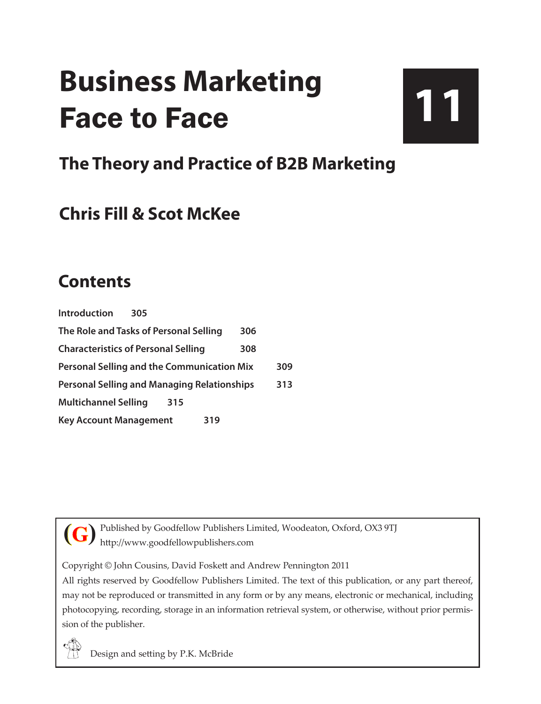# **Business Marketing** Face to Face

# **11**

### **The Theory and Practice of B2B Marketing**

### **Chris Fill & Scot McKee**

### **Contents**

| <b>Introduction</b>                                | 305 |     |     |
|----------------------------------------------------|-----|-----|-----|
| The Role and Tasks of Personal Selling<br>306      |     |     |     |
| <b>Characteristics of Personal Selling</b>         |     | 308 |     |
| <b>Personal Selling and the Communication Mix</b>  |     |     | 309 |
| <b>Personal Selling and Managing Relationships</b> |     |     | 313 |
| <b>Multichannel Selling</b>                        | 315 |     |     |
| <b>Key Account Management</b>                      |     | 319 |     |

Published by Goodfellow Publishers Limited, Woodeaton, Oxford, OX3 9TJ http://www.goodfellowpublishers.com **(G)**

Copyright © John Cousins, David Foskett and Andrew Pennington 2011

All rights reserved by Goodfellow Publishers Limited. The text of this publication, or any part thereof, may not be reproduced or transmitted in any form or by any means, electronic or mechanical, including photocopying, recording, storage in an information retrieval system, or otherwise, without prior permission of the publisher.

Design and setting by P.K. McBride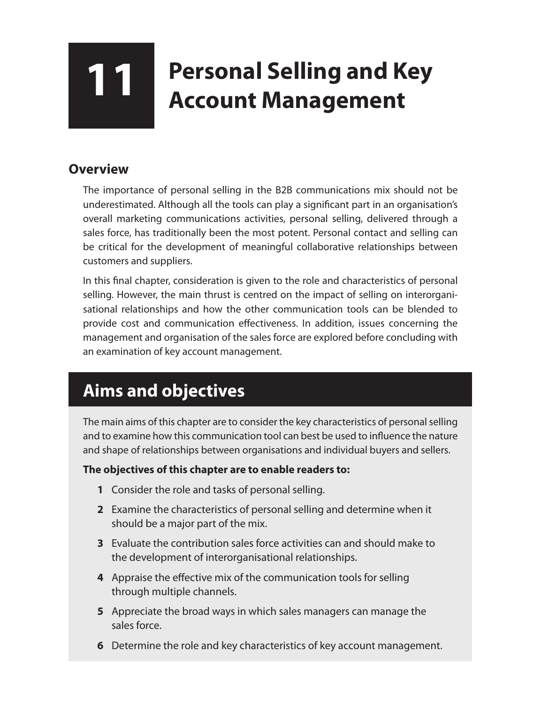## **11 Personal Selling and Key Account Management**

#### **Overview**

The importance of personal selling in the B2B communications mix should not be underestimated. Although all the tools can play a significant part in an organisation's overall marketing communications activities, personal selling, delivered through a sales force, has traditionally been the most potent. Personal contact and selling can be critical for the development of meaningful collaborative relationships between customers and suppliers.

In this final chapter, consideration is given to the role and characteristics of personal selling. However, the main thrust is centred on the impact of selling on interorganisational relationships and how the other communication tools can be blended to provide cost and communication effectiveness. In addition, issues concerning the management and organisation of the sales force are explored before concluding with an examination of key account management.

### **Aims and objectives**

The main aims of this chapter are to consider the key characteristics of personal selling and to examine how this communication tool can best be used to influence the nature and shape of relationships between organisations and individual buyers and sellers.

#### **The objectives of this chapter are to enable readers to:**

- **1** Consider the role and tasks of personal selling.
- **2** Examine the characteristics of personal selling and determine when it should be a major part of the mix.
- **3** Evaluate the contribution sales force activities can and should make to the development of interorganisational relationships.
- **4** Appraise the effective mix of the communication tools for selling through multiple channels.
- **5** Appreciate the broad ways in which sales managers can manage the sales force.
- **6** Determine the role and key characteristics of key account management.